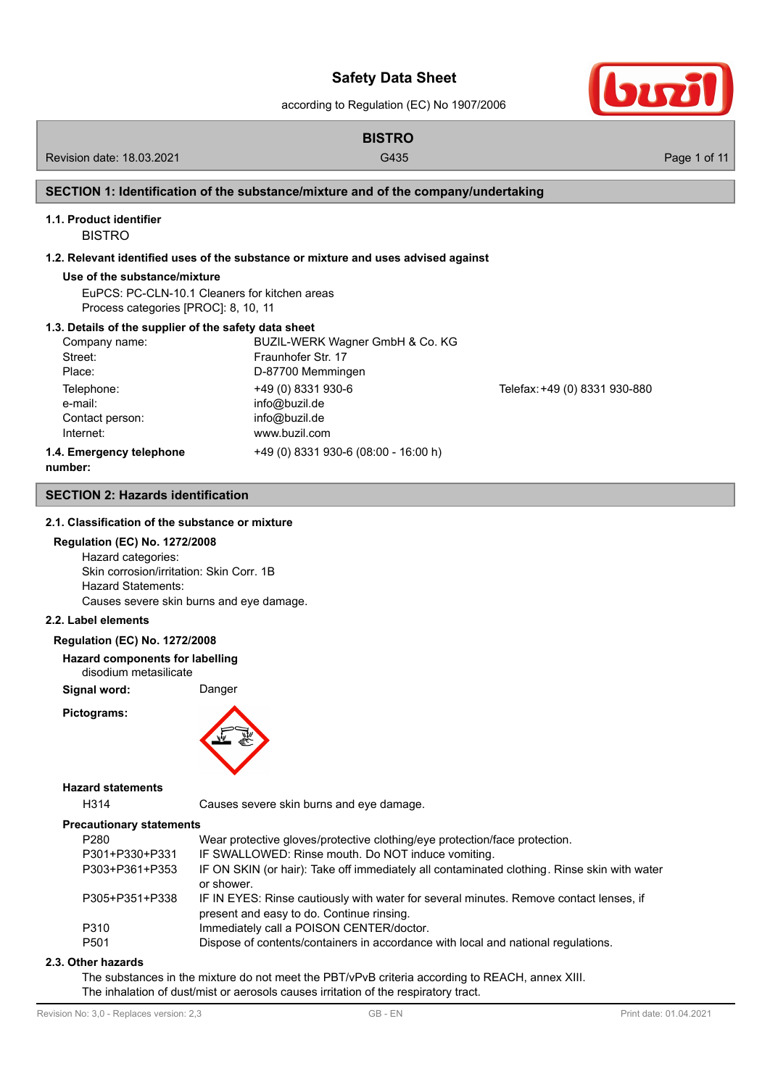according to Regulation (EC) No 1907/2006



# **BISTRO**

Revision date: 18.03.2021 Case of the Cause of the G435 Cause of the Cause of the Cause of the Page 1 of 11

### **SECTION 1: Identification of the substance/mixture and of the company/undertaking**

## **1.1. Product identifier**

BISTRO

### **1.2. Relevant identified uses of the substance or mixture and uses advised against**

### **Use of the substance/mixture**

EuPCS: PC-CLN-10.1 Cleaners for kitchen areas Process categories [PROC]: 8, 10, 11

### **1.3. Details of the supplier of the safety data sheet**

| Company name:                                                                                                                               | BUZIL-WERK Wagner GmbH & Co. KG      |                               |
|---------------------------------------------------------------------------------------------------------------------------------------------|--------------------------------------|-------------------------------|
| Street:                                                                                                                                     | Fraunhofer Str. 17                   |                               |
| Place:                                                                                                                                      | D-87700 Memmingen                    |                               |
| Telephone:<br>e-mail:                                                                                                                       | +49 (0) 8331 930-6<br>info@buzil.de  | Telefax: +49 (0) 8331 930-880 |
| Contact person:                                                                                                                             | info@buzil.de                        |                               |
| Internet:                                                                                                                                   | www.buzil.com                        |                               |
| 1.4. Emergency telephone<br>the contract of the contract of the contract of the contract of the contract of the contract of the contract of | +49 (0) 8331 930-6 (08:00 - 16:00 h) |                               |

**number:**

### **SECTION 2: Hazards identification**

### **2.1. Classification of the substance or mixture**

# **Regulation (EC) No. 1272/2008**

Hazard categories: Skin corrosion/irritation: Skin Corr. 1B Hazard Statements: Causes severe skin burns and eye damage.

# **2.2. Label elements**

### **Regulation (EC) No. 1272/2008**

**Hazard components for labelling** disodium metasilicate

**Signal word:** Danger

**Pictograms:**



#### **Hazard statements**

H314 Causes severe skin burns and eye damage.

### **Precautionary statements**

| P <sub>280</sub> | Wear protective gloves/protective clothing/eye protection/face protection.                  |
|------------------|---------------------------------------------------------------------------------------------|
| P301+P330+P331   | IF SWALLOWED: Rinse mouth. Do NOT induce vomiting.                                          |
| P303+P361+P353   | IF ON SKIN (or hair): Take off immediately all contaminated clothing. Rinse skin with water |
|                  | or shower.                                                                                  |
| P305+P351+P338   | IF IN EYES: Rinse cautiously with water for several minutes. Remove contact lenses, if      |
|                  | present and easy to do. Continue rinsing.                                                   |
| P310             | Immediately call a POISON CENTER/doctor.                                                    |
| P <sub>501</sub> | Dispose of contents/containers in accordance with local and national regulations.           |

#### **2.3. Other hazards**

The substances in the mixture do not meet the PBT/vPvB criteria according to REACH, annex XIII. The inhalation of dust/mist or aerosols causes irritation of the respiratory tract.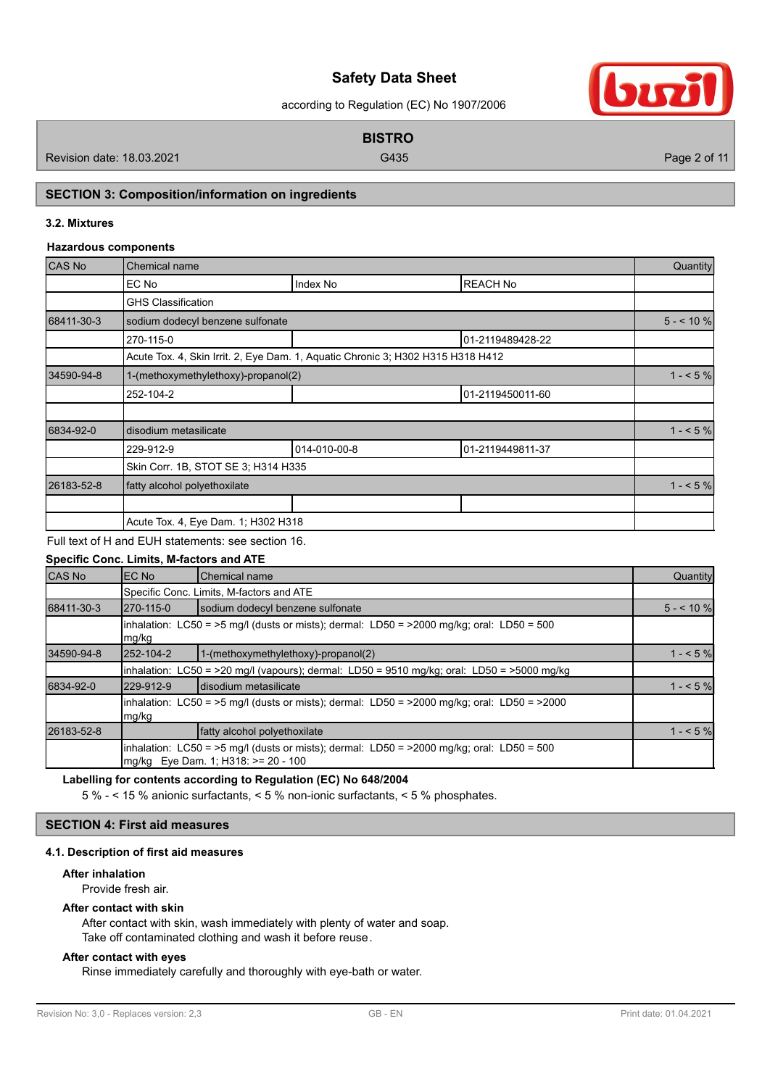according to Regulation (EC) No 1907/2006



Revision date: 18.03.2021 Case of the Case of the Case of the Case of the Case of the Case of the Page 2 of 11

**BISTRO**

# **SECTION 3: Composition/information on ingredients**

### **3.2. Mixtures**

### **Hazardous components**

| <b>CAS No</b> | Chemical name                       |                                                                                 |                  | Quantity    |
|---------------|-------------------------------------|---------------------------------------------------------------------------------|------------------|-------------|
|               | EC No                               | Index No                                                                        | <b>REACH No</b>  |             |
|               | <b>GHS Classification</b>           |                                                                                 |                  |             |
| 68411-30-3    | sodium dodecyl benzene sulfonate    |                                                                                 |                  | $5 - 10 \%$ |
|               | 270-115-0                           |                                                                                 | 01-2119489428-22 |             |
|               |                                     | Acute Tox. 4, Skin Irrit. 2, Eye Dam. 1, Aquatic Chronic 3; H302 H315 H318 H412 |                  |             |
| 34590-94-8    | 1-(methoxymethylethoxy)-propanol(2) |                                                                                 |                  | $1 - 5\%$   |
|               | 252-104-2                           |                                                                                 | 01-2119450011-60 |             |
|               |                                     |                                                                                 |                  |             |
| 6834-92-0     | disodium metasilicate               |                                                                                 |                  | $1 - 5\%$   |
|               | 229-912-9                           | 014-010-00-8                                                                    | 01-2119449811-37 |             |
|               | Skin Corr. 1B, STOT SE 3; H314 H335 |                                                                                 |                  |             |
| 26183-52-8    | fatty alcohol polyethoxilate        |                                                                                 |                  | $1 - 5\%$   |
|               |                                     |                                                                                 |                  |             |
|               | Acute Tox. 4, Eye Dam. 1; H302 H318 |                                                                                 |                  |             |

Full text of H and EUH statements: see section 16.

# **Specific Conc. Limits, M-factors and ATE**

| CAS No     | EC No                                                                                                   | lChemical name                                                                                                                       | Quantity   |  |  |  |
|------------|---------------------------------------------------------------------------------------------------------|--------------------------------------------------------------------------------------------------------------------------------------|------------|--|--|--|
|            |                                                                                                         | Specific Conc. Limits, M-factors and ATE                                                                                             |            |  |  |  |
| 68411-30-3 | 270-115-0                                                                                               | sodium dodecyl benzene sulfonate                                                                                                     | $5 - 10$ % |  |  |  |
|            | inhalation: $LC50 = 5$ mg/l (dusts or mists); dermal: $LD50 = 2000$ mg/kg; oral: $LD50 = 500$<br>mg/kg  |                                                                                                                                      |            |  |  |  |
| 34590-94-8 | 252-104-2                                                                                               | 1-(methoxymethylethoxy)-propanol(2)                                                                                                  | $1 - 5%$   |  |  |  |
|            |                                                                                                         | inhalation: $LCS0 = 20$ mg/l (vapours); dermal: $LD50 = 9510$ mg/kg; oral: $LD50 = 25000$ mg/kg                                      |            |  |  |  |
| 6834-92-0  | 229-912-9                                                                                               | Idisodium metasilicate                                                                                                               | $1 - 5\%$  |  |  |  |
|            | inhalation: $LC50 = 5$ mg/l (dusts or mists); dermal: $LD50 = 2000$ mg/kg; oral: $LD50 = 2000$<br>mg/kg |                                                                                                                                      |            |  |  |  |
| 26183-52-8 |                                                                                                         | fatty alcohol polyethoxilate                                                                                                         | $1 - 5%$   |  |  |  |
|            |                                                                                                         | inhalation: $LC50 = 5$ mg/l (dusts or mists); dermal: $LD50 = 2000$ mg/kg; oral: $LD50 = 500$<br>mg/kg Eye Dam. 1; H318: >= 20 - 100 |            |  |  |  |

### **Labelling for contents according to Regulation (EC) No 648/2004**

5 % - < 15 % anionic surfactants, < 5 % non-ionic surfactants, < 5 % phosphates.

# **SECTION 4: First aid measures**

### **4.1. Description of first aid measures**

### **After inhalation**

Provide fresh air.

### **After contact with skin**

After contact with skin, wash immediately with plenty of water and soap. Take off contaminated clothing and wash it before reuse.

### **After contact with eyes**

Rinse immediately carefully and thoroughly with eye-bath or water.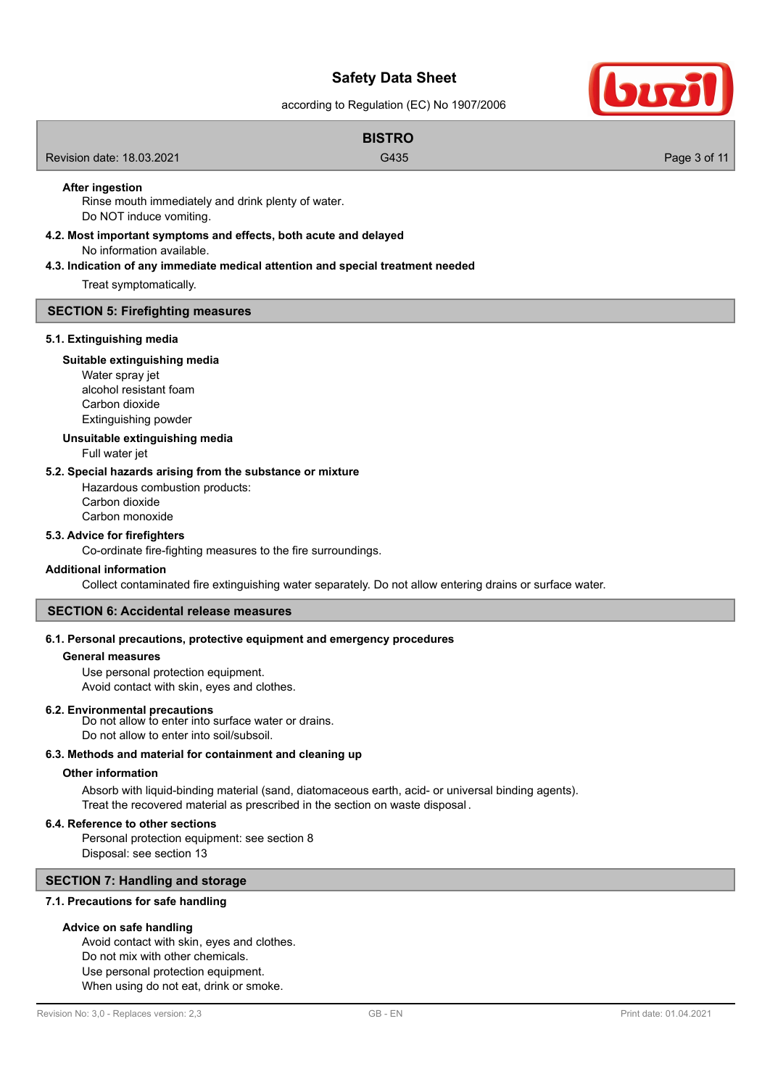according to Regulation (EC) No 1907/2006

|                           | <b>BISTRO</b> |              |
|---------------------------|---------------|--------------|
| Revision date: 18.03.2021 | G435          | Page 3 of 11 |
|                           |               |              |

### **After ingestion**

Rinse mouth immediately and drink plenty of water. Do NOT induce vomiting.

**4.2. Most important symptoms and effects, both acute and delayed**

No information available.

**4.3. Indication of any immediate medical attention and special treatment needed**

Treat symptomatically.

#### **SECTION 5: Firefighting measures**

#### **5.1. Extinguishing media**

# **Suitable extinguishing media**

Water spray jet alcohol resistant foam Carbon dioxide Extinguishing powder

### **Unsuitable extinguishing media**

Full water jet

### **5.2. Special hazards arising from the substance or mixture**

Hazardous combustion products: Carbon dioxide Carbon monoxide

#### **5.3. Advice for firefighters**

Co-ordinate fire-fighting measures to the fire surroundings.

#### **Additional information**

Collect contaminated fire extinguishing water separately. Do not allow entering drains or surface water.

# **SECTION 6: Accidental release measures**

# **6.1. Personal precautions, protective equipment and emergency procedures**

### **General measures**

Use personal protection equipment. Avoid contact with skin, eyes and clothes.

#### **6.2. Environmental precautions**

Do not allow to enter into surface water or drains. Do not allow to enter into soil/subsoil.

### **6.3. Methods and material for containment and cleaning up**

### **Other information**

Absorb with liquid-binding material (sand, diatomaceous earth, acid- or universal binding agents). Treat the recovered material as prescribed in the section on waste disposal .

### **6.4. Reference to other sections**

Personal protection equipment: see section 8 Disposal: see section 13

### **SECTION 7: Handling and storage**

**7.1. Precautions for safe handling**

### **Advice on safe handling**

Avoid contact with skin, eyes and clothes. Do not mix with other chemicals. Use personal protection equipment. When using do not eat, drink or smoke.

SIT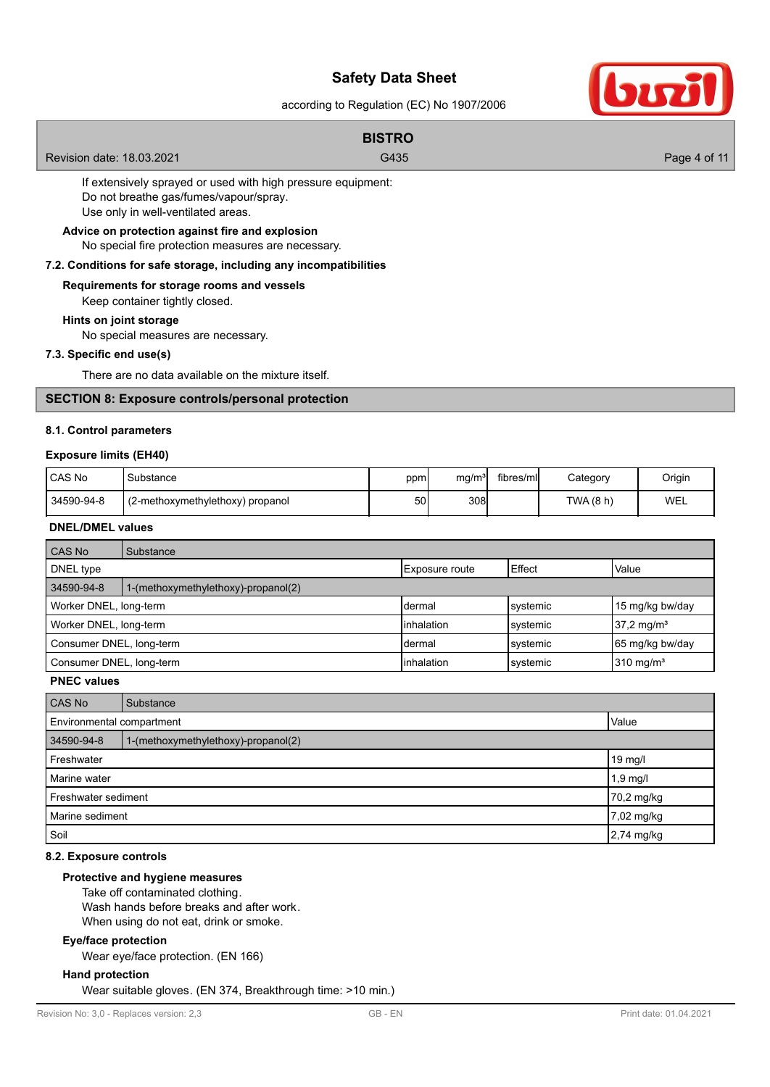according to Regulation (EC) No 1907/2006

|                                                             | <b>BISTRO</b> |              |  |  |
|-------------------------------------------------------------|---------------|--------------|--|--|
| Revision date: 18.03.2021                                   | G435          | Page 4 of 11 |  |  |
| If extensively sprayed or used with high pressure equipment |               |              |  |  |

If extensively sprayed or used with high pressure equipment: Do not breathe gas/fumes/vapour/spray. Use only in well-ventilated areas.

No special fire protection measures are necessary. **Advice on protection against fire and explosion**

### **7.2. Conditions for safe storage, including any incompatibilities**

# **Requirements for storage rooms and vessels**

Keep container tightly closed.

### **Hints on joint storage**

No special measures are necessary.

### **7.3. Specific end use(s)**

There are no data available on the mixture itself.

### **SECTION 8: Exposure controls/personal protection**

#### **8.1. Control parameters**

### **Exposure limits (EH40)**

| l CAS No   | Substance                        | ppm | mg/m <sup>3</sup> | fibres/mll | Category  | Origin |
|------------|----------------------------------|-----|-------------------|------------|-----------|--------|
| 34590-94-8 | (2-methoxymethylethoxy) propanol | 50  | 308               |            | TWA (8 h) | WEL    |

# **DNEL/DMEL values**

| <b>CAS No</b>            | Substance                           |                |          |                       |  |
|--------------------------|-------------------------------------|----------------|----------|-----------------------|--|
| DNEL type                |                                     | Exposure route | Effect   | Value                 |  |
| 34590-94-8               | 1-(methoxymethylethoxy)-propanol(2) |                |          |                       |  |
| Worker DNEL, long-term   |                                     | Idermal        | systemic | 15 mg/kg bw/day       |  |
| Worker DNEL, long-term   |                                     | inhalation     | systemic | $37.2 \text{ mg/m}^3$ |  |
| Consumer DNEL, long-term |                                     | ldermal        | systemic | 65 mg/kg bw/day       |  |
| Consumer DNEL, long-term |                                     | inhalation     | systemic | $310 \text{ mg/m}^3$  |  |

## **PNEC values**

| CAS No                     | Substance                           |            |  |  |  |
|----------------------------|-------------------------------------|------------|--|--|--|
|                            | Value<br>Environmental compartment  |            |  |  |  |
| 34590-94-8                 | 1-(methoxymethylethoxy)-propanol(2) |            |  |  |  |
| Freshwater                 |                                     | 19 mg/l    |  |  |  |
| Marine water<br>$1,9$ mg/l |                                     |            |  |  |  |
| Freshwater sediment        |                                     | 70,2 mg/kg |  |  |  |
| Marine sediment            |                                     | 7,02 mg/kg |  |  |  |
| Soil                       |                                     | 2,74 mg/kg |  |  |  |

### **8.2. Exposure controls**

# **Protective and hygiene measures**

Take off contaminated clothing.

Wash hands before breaks and after work.

When using do not eat, drink or smoke.

### **Eye/face protection**

Wear eye/face protection. (EN 166)

### **Hand protection**

Wear suitable gloves. (EN 374, Breakthrough time: >10 min.)

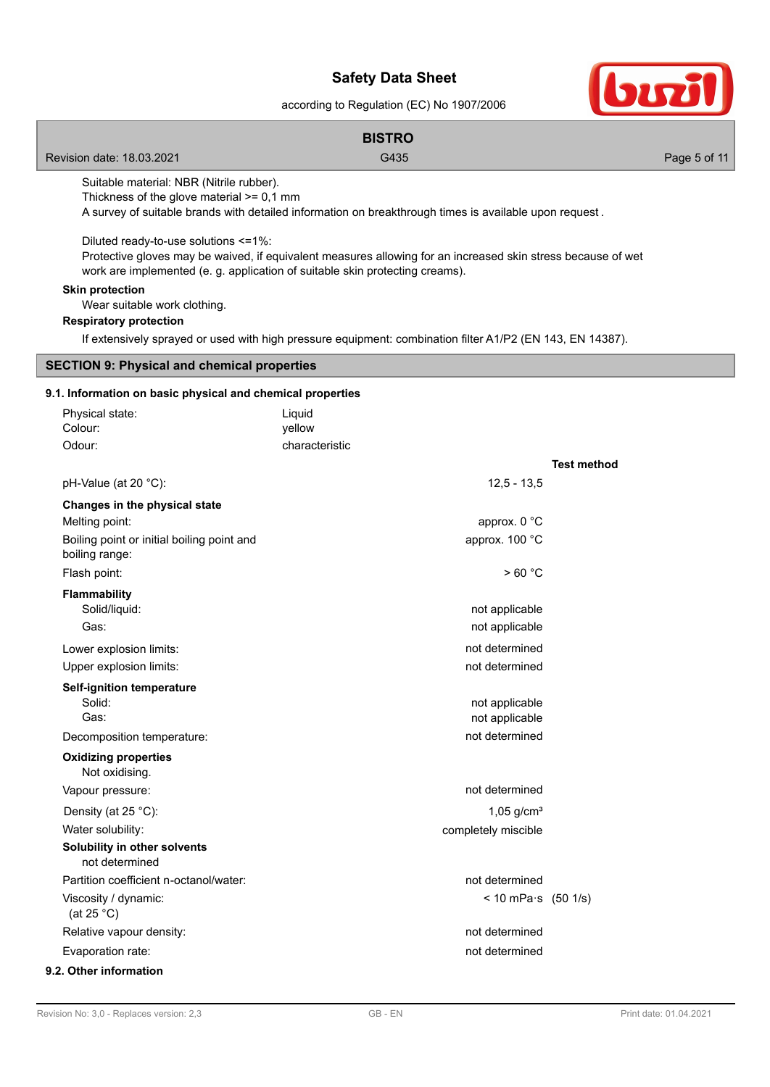according to Regulation (EC) No 1907/2006



|                                                                                         | according to regulation (LO) is 1501/2000                                                                                                                                                    |                    |
|-----------------------------------------------------------------------------------------|----------------------------------------------------------------------------------------------------------------------------------------------------------------------------------------------|--------------------|
|                                                                                         | <b>BISTRO</b>                                                                                                                                                                                |                    |
| Revision date: 18.03.2021                                                               | G435                                                                                                                                                                                         | Page 5 of 11       |
| Suitable material: NBR (Nitrile rubber).<br>Thickness of the glove material $>= 0.1$ mm | A survey of suitable brands with detailed information on breakthrough times is available upon request.                                                                                       |                    |
| Diluted ready-to-use solutions <= 1%:                                                   | Protective gloves may be waived, if equivalent measures allowing for an increased skin stress because of wet<br>work are implemented (e. g. application of suitable skin protecting creams). |                    |
| <b>Skin protection</b><br>Wear suitable work clothing.                                  |                                                                                                                                                                                              |                    |
| <b>Respiratory protection</b>                                                           |                                                                                                                                                                                              |                    |
|                                                                                         | If extensively sprayed or used with high pressure equipment: combination filter A1/P2 (EN 143, EN 14387).                                                                                    |                    |
| <b>SECTION 9: Physical and chemical properties</b>                                      |                                                                                                                                                                                              |                    |
| 9.1. Information on basic physical and chemical properties                              |                                                                                                                                                                                              |                    |
| Physical state:                                                                         | Liquid                                                                                                                                                                                       |                    |
| Colour:                                                                                 | yellow                                                                                                                                                                                       |                    |
| Odour:                                                                                  | characteristic                                                                                                                                                                               | <b>Test method</b> |
| pH-Value (at 20 °C):                                                                    | $12,5 - 13,5$                                                                                                                                                                                |                    |
| Changes in the physical state                                                           |                                                                                                                                                                                              |                    |
| Melting point:                                                                          | approx. 0 °C                                                                                                                                                                                 |                    |
| Boiling point or initial boiling point and<br>boiling range:                            | approx. 100 °C                                                                                                                                                                               |                    |
| Flash point:                                                                            | >60 °C                                                                                                                                                                                       |                    |
| <b>Flammability</b>                                                                     |                                                                                                                                                                                              |                    |
| Solid/liquid:                                                                           | not applicable                                                                                                                                                                               |                    |
| Gas:                                                                                    | not applicable                                                                                                                                                                               |                    |
| Lower explosion limits:                                                                 | not determined                                                                                                                                                                               |                    |
| Upper explosion limits:                                                                 | not determined                                                                                                                                                                               |                    |
| Self-ignition temperature<br>Solid:                                                     | not applicable                                                                                                                                                                               |                    |
| Gas:                                                                                    | not applicable                                                                                                                                                                               |                    |
| Decomposition temperature:                                                              | not determined                                                                                                                                                                               |                    |
| <b>Oxidizing properties</b><br>Not oxidising.                                           |                                                                                                                                                                                              |                    |
| Vapour pressure:                                                                        | not determined                                                                                                                                                                               |                    |
| Density (at 25 °C):                                                                     | $1,05$ g/cm <sup>3</sup>                                                                                                                                                                     |                    |
| Water solubility:                                                                       | completely miscible                                                                                                                                                                          |                    |
| Solubility in other solvents<br>not determined                                          |                                                                                                                                                                                              |                    |
| Partition coefficient n-octanol/water:                                                  | not determined                                                                                                                                                                               |                    |
| Viscosity / dynamic:<br>(at 25 $°C$ )                                                   | $< 10$ mPa $\cdot$ s (50 1/s)                                                                                                                                                                |                    |
| Relative vapour density:                                                                | not determined                                                                                                                                                                               |                    |
| Evaporation rate:                                                                       | not determined                                                                                                                                                                               |                    |
| 9.2. Other information                                                                  |                                                                                                                                                                                              |                    |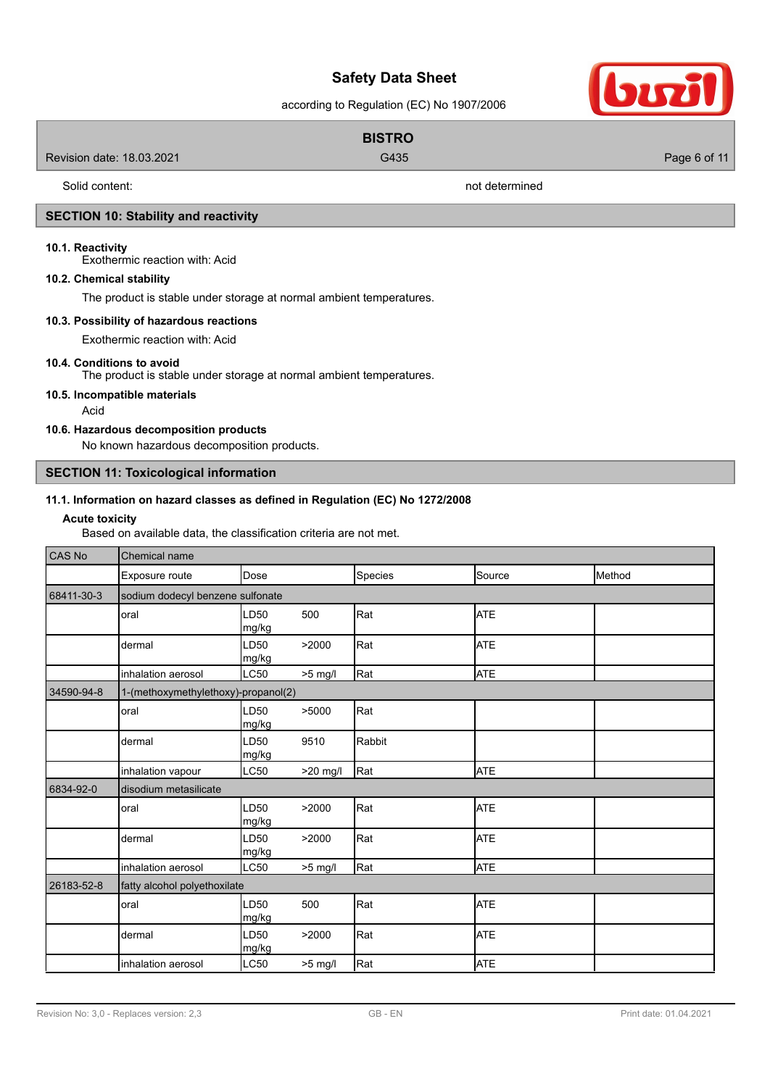according to Regulation (EC) No 1907/2006

|                           | <b>BISTRO</b>  |              |
|---------------------------|----------------|--------------|
| Revision date: 18.03.2021 | G435           | Page 6 of 11 |
| Solid content:            | not determined |              |

### **SECTION 10: Stability and reactivity**

### **10.1. Reactivity**

Exothermic reaction with: Acid

### **10.2. Chemical stability**

The product is stable under storage at normal ambient temperatures.

### **10.3. Possibility of hazardous reactions**

Exothermic reaction with: Acid

### **10.4. Conditions to avoid**

The product is stable under storage at normal ambient temperatures.

### **10.5. Incompatible materials**

Acid

### **10.6. Hazardous decomposition products**

No known hazardous decomposition products.

# **SECTION 11: Toxicological information**

### **11.1. Information on hazard classes as defined in Regulation (EC) No 1272/2008**

### **Acute toxicity**

Based on available data, the classification criteria are not met.

| <b>CAS No</b> | Chemical name                       |               |            |         |            |        |
|---------------|-------------------------------------|---------------|------------|---------|------------|--------|
|               | Exposure route                      | Dose          |            | Species | Source     | Method |
| 68411-30-3    | sodium dodecyl benzene sulfonate    |               |            |         |            |        |
|               | oral                                | LD50<br>mg/kg | 500        | Rat     | <b>ATE</b> |        |
|               | dermal                              | LD50<br>mg/kg | >2000      | Rat     | <b>ATE</b> |        |
|               | inhalation aerosol                  | LC50          | $>5$ mg/l  | Rat     | <b>ATE</b> |        |
| 34590-94-8    | 1-(methoxymethylethoxy)-propanol(2) |               |            |         |            |        |
|               | oral                                | LD50<br>mg/kg | >5000      | Rat     |            |        |
|               | dermal                              | LD50<br>mg/kg | 9510       | Rabbit  |            |        |
|               | inhalation vapour                   | LC50          | $>20$ mg/l | Rat     | <b>ATE</b> |        |
| 6834-92-0     | disodium metasilicate               |               |            |         |            |        |
|               | oral                                | LD50<br>mg/kg | >2000      | Rat     | <b>ATE</b> |        |
|               | dermal                              | LD50<br>mg/kg | >2000      | Rat     | <b>ATE</b> |        |
|               | inhalation aerosol                  | LC50          | $>5$ mg/l  | Rat     | <b>ATE</b> |        |
| 26183-52-8    | fatty alcohol polyethoxilate        |               |            |         |            |        |
|               | oral                                | LD50<br>mg/kg | 500        | Rat     | <b>ATE</b> |        |
|               | dermal                              | LD50<br>mg/kg | >2000      | Rat     | <b>ATE</b> |        |
|               | inhalation aerosol                  | LC50          | $>5$ mg/l  | Rat     | <b>ATE</b> |        |

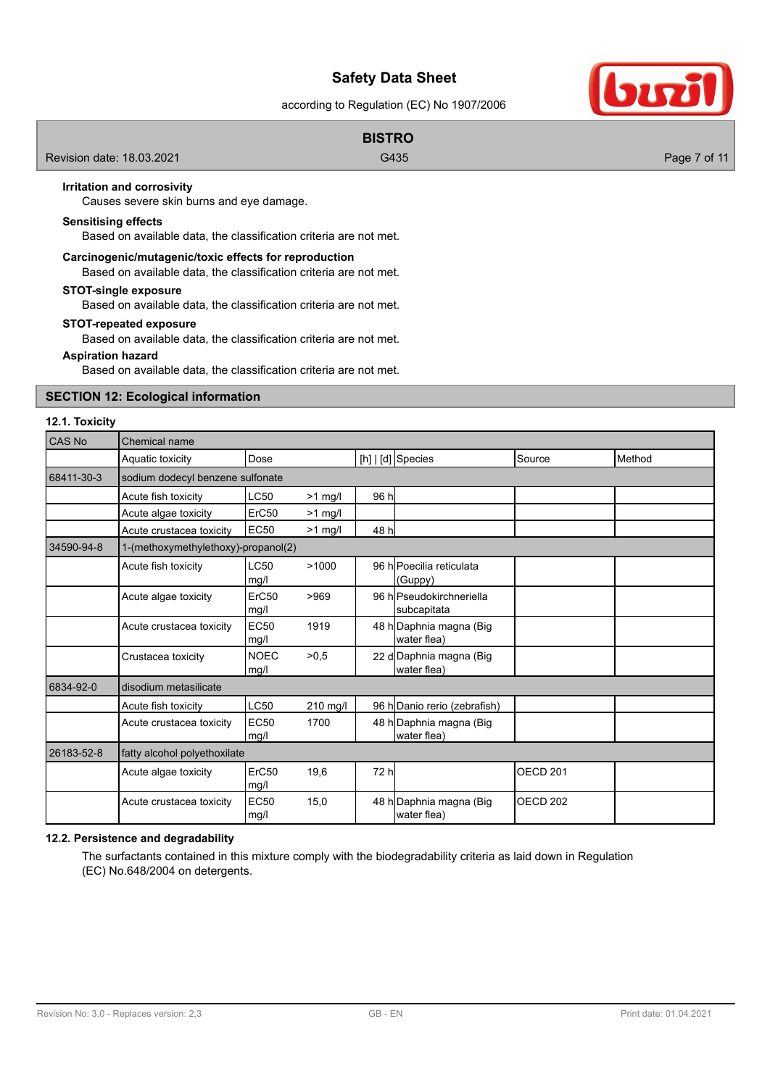according to Regulation (EC) No 1907/2006

|                           | <b>BISTRO</b> |              |
|---------------------------|---------------|--------------|
| Revision date: 18.03.2021 | G435          | Page 7 of 11 |

### **Irritation and corrosivity**

Causes severe skin burns and eye damage.

### **Sensitising effects**

Based on available data, the classification criteria are not met.

### **Carcinogenic/mutagenic/toxic effects for reproduction**

Based on available data, the classification criteria are not met.

### **STOT-single exposure**

Based on available data, the classification criteria are not met.

#### **STOT-repeated exposure**

Based on available data, the classification criteria are not met.

### **Aspiration hazard**

Based on available data, the classification criteria are not met.

# **SECTION 12: Ecological information**

### **12.1. Toxicity**

| CAS No     | Chemical name                       |                     |           |       |                                         |                     |        |
|------------|-------------------------------------|---------------------|-----------|-------|-----------------------------------------|---------------------|--------|
|            | Aquatic toxicity                    | Dose                |           |       | $[h]   [d]$ Species                     | Source              | Method |
| 68411-30-3 | sodium dodecyl benzene sulfonate    |                     |           |       |                                         |                     |        |
|            | Acute fish toxicity                 | <b>LC50</b>         | $>1$ mg/l | 96 h  |                                         |                     |        |
|            | Acute algae toxicity                | ErC50               | $>1$ mg/l |       |                                         |                     |        |
|            | Acute crustacea toxicity            | <b>EC50</b>         | $>1$ mg/l | 48 hl |                                         |                     |        |
| 34590-94-8 | 1-(methoxymethylethoxy)-propanol(2) |                     |           |       |                                         |                     |        |
|            | Acute fish toxicity                 | LC50<br>mg/l        | >1000     |       | 96 hPoecilia reticulata<br>(Guppy)      |                     |        |
|            | Acute algae toxicity                | ErC50<br>mg/l       | >969      |       | 96 hlPseudokirchneriella<br>subcapitata |                     |        |
|            | Acute crustacea toxicity            | <b>EC50</b><br>mg/l | 1919      |       | 48 h Daphnia magna (Big<br>water flea)  |                     |        |
|            | Crustacea toxicity                  | <b>NOEC</b><br>mg/l | >0.5      |       | 22 d Daphnia magna (Big<br>water flea)  |                     |        |
| 6834-92-0  | disodium metasilicate               |                     |           |       |                                         |                     |        |
|            | Acute fish toxicity                 | <b>LC50</b>         | 210 mg/l  |       | 96 h Danio rerio (zebrafish)            |                     |        |
|            | Acute crustacea toxicity            | <b>EC50</b><br>mg/l | 1700      |       | 48 h Daphnia magna (Big<br>water flea)  |                     |        |
| 26183-52-8 | fatty alcohol polyethoxilate        |                     |           |       |                                         |                     |        |
|            | Acute algae toxicity                | ErC50<br>mg/l       | 19,6      | 72 hl |                                         | OECD <sub>201</sub> |        |
|            | Acute crustacea toxicity            | <b>EC50</b><br>mg/l | 15,0      |       | 48 h Daphnia magna (Big<br>water flea)  | OECD <sub>202</sub> |        |

# **12.2. Persistence and degradability**

The surfactants contained in this mixture comply with the biodegradability criteria as laid down in Regulation (EC) No.648/2004 on detergents.

buzi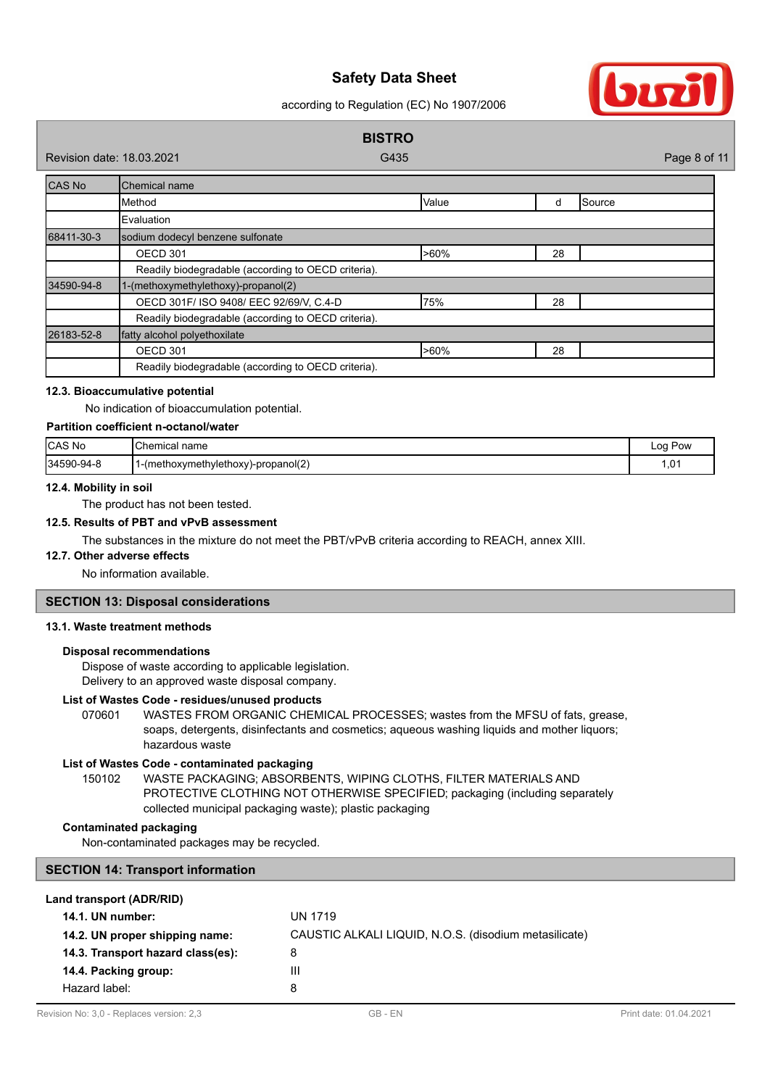according to Regulation (EC) No 1907/2006



### **12.3. Bioaccumulative potential**

No indication of bioaccumulation potential.

# **Partition coefficient n-octanol/water**

| CAS No     | name<br>: Chemical،                          | ∟oa '<br>Pow |
|------------|----------------------------------------------|--------------|
| 34590-94-8 | (methoxymethylethoxy)-propanol(2)<br>- 1 - 1 | 01, ا        |

### **12.4. Mobility in soil**

The product has not been tested.

### **12.5. Results of PBT and vPvB assessment**

The substances in the mixture do not meet the PBT/vPvB criteria according to REACH, annex XIII.

# **12.7. Other adverse effects**

No information available.

### **SECTION 13: Disposal considerations**

### **13.1. Waste treatment methods**

### **Disposal recommendations**

Dispose of waste according to applicable legislation. Delivery to an approved waste disposal company.

### **List of Wastes Code - residues/unused products**

070601 WASTES FROM ORGANIC CHEMICAL PROCESSES; wastes from the MFSU of fats, grease, soaps, detergents, disinfectants and cosmetics; aqueous washing liquids and mother liquors; hazardous waste

# **List of Wastes Code - contaminated packaging**

WASTE PACKAGING; ABSORBENTS, WIPING CLOTHS, FILTER MATERIALS AND PROTECTIVE CLOTHING NOT OTHERWISE SPECIFIED; packaging (including separately collected municipal packaging waste); plastic packaging 150102

### **Contaminated packaging**

Non-contaminated packages may be recycled.

### **SECTION 14: Transport information**

### **Land transport (ADR/RID)**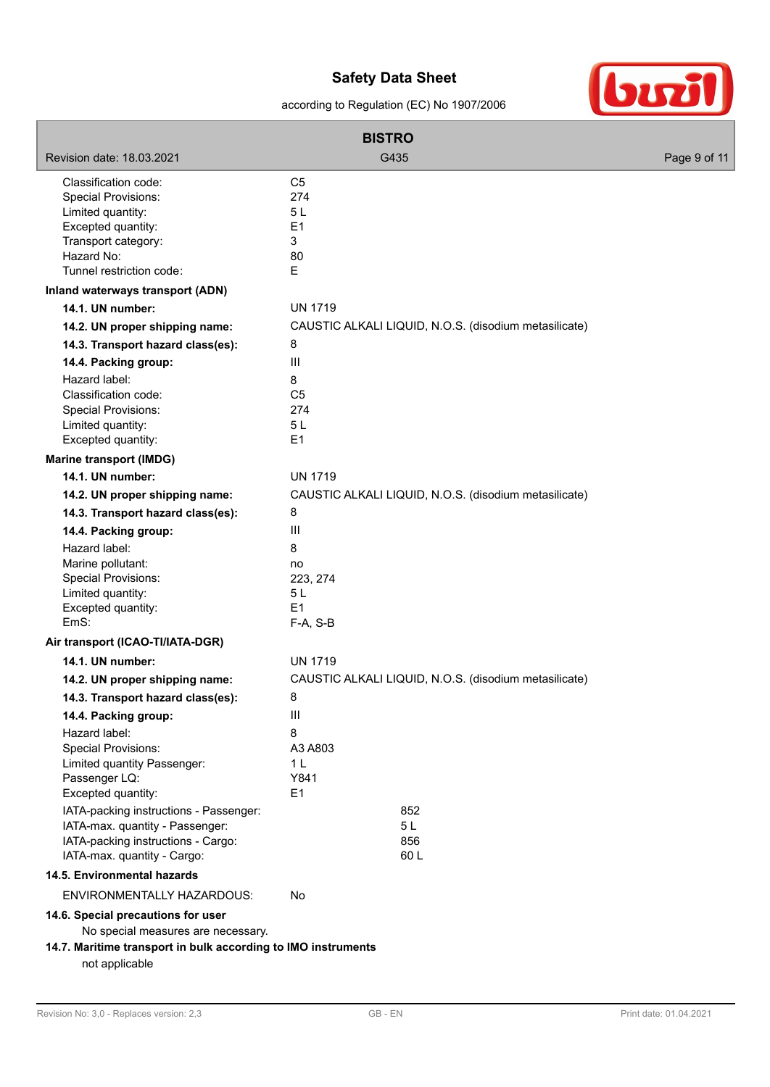according to Regulation (EC) No 1907/2006



| <b>BISTRO</b>                                                     |                                                       |              |  |  |
|-------------------------------------------------------------------|-------------------------------------------------------|--------------|--|--|
| Revision date: 18.03.2021                                         | G435                                                  | Page 9 of 11 |  |  |
| Classification code:                                              | C <sub>5</sub>                                        |              |  |  |
| <b>Special Provisions:</b>                                        | 274                                                   |              |  |  |
| Limited quantity:                                                 | 5L                                                    |              |  |  |
| Excepted quantity:                                                | E1                                                    |              |  |  |
| Transport category:                                               | 3                                                     |              |  |  |
| Hazard No:                                                        | 80                                                    |              |  |  |
| Tunnel restriction code:                                          | E                                                     |              |  |  |
| Inland waterways transport (ADN)                                  |                                                       |              |  |  |
| 14.1. UN number:                                                  | <b>UN 1719</b>                                        |              |  |  |
| 14.2. UN proper shipping name:                                    | CAUSTIC ALKALI LIQUID, N.O.S. (disodium metasilicate) |              |  |  |
| 14.3. Transport hazard class(es):                                 | 8                                                     |              |  |  |
| 14.4. Packing group:                                              | $\mathbf{III}$                                        |              |  |  |
| Hazard label:                                                     | 8                                                     |              |  |  |
| Classification code:                                              | C <sub>5</sub>                                        |              |  |  |
| <b>Special Provisions:</b><br>Limited quantity:                   | 274<br>5L                                             |              |  |  |
| Excepted quantity:                                                | E1                                                    |              |  |  |
| <b>Marine transport (IMDG)</b>                                    |                                                       |              |  |  |
| 14.1. UN number:                                                  | <b>UN 1719</b>                                        |              |  |  |
| 14.2. UN proper shipping name:                                    | CAUSTIC ALKALI LIQUID, N.O.S. (disodium metasilicate) |              |  |  |
| 14.3. Transport hazard class(es):                                 | 8                                                     |              |  |  |
| 14.4. Packing group:                                              | $\mathbf{III}$                                        |              |  |  |
| Hazard label:                                                     | 8                                                     |              |  |  |
| Marine pollutant:                                                 | no                                                    |              |  |  |
| Special Provisions:                                               | 223, 274                                              |              |  |  |
| Limited quantity:                                                 | 5 <sub>L</sub>                                        |              |  |  |
| Excepted quantity:                                                | E1                                                    |              |  |  |
| EmS:                                                              | F-A, S-B                                              |              |  |  |
| Air transport (ICAO-TI/IATA-DGR)                                  |                                                       |              |  |  |
| 14.1. UN number:                                                  | <b>UN 1719</b>                                        |              |  |  |
| 14.2. UN proper shipping name:                                    | CAUSTIC ALKALI LIQUID, N.O.S. (disodium metasilicate) |              |  |  |
| 14.3. Transport hazard class(es):                                 | 8                                                     |              |  |  |
| 14.4. Packing group:                                              | Ш                                                     |              |  |  |
| Hazard label:                                                     | 8                                                     |              |  |  |
| <b>Special Provisions:</b>                                        | A3 A803                                               |              |  |  |
| Limited quantity Passenger:                                       | 1 <sub>L</sub>                                        |              |  |  |
| Passenger LQ:                                                     | Y841                                                  |              |  |  |
| Excepted quantity:                                                | E1                                                    |              |  |  |
| IATA-packing instructions - Passenger:                            | 852                                                   |              |  |  |
| IATA-max. quantity - Passenger:                                   | 5 L                                                   |              |  |  |
| IATA-packing instructions - Cargo:<br>IATA-max. quantity - Cargo: | 856<br>60L                                            |              |  |  |
| 14.5. Environmental hazards                                       |                                                       |              |  |  |
|                                                                   |                                                       |              |  |  |
| ENVIRONMENTALLY HAZARDOUS:                                        | No                                                    |              |  |  |
| 14.6. Special precautions for user                                |                                                       |              |  |  |
| No special measures are necessary.                                |                                                       |              |  |  |
| 14.7. Maritime transport in bulk according to IMO instruments     |                                                       |              |  |  |
| not applicable                                                    |                                                       |              |  |  |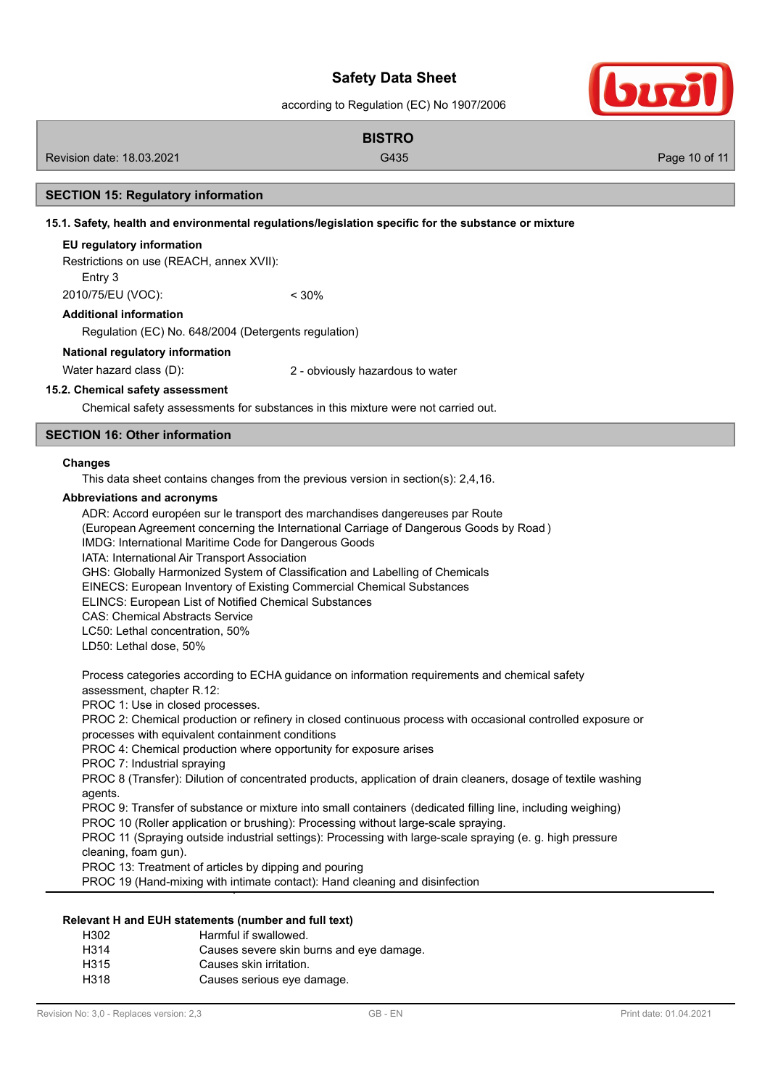according to Regulation (EC) No 1907/2006

# **BISTRO** Revision date: 18.03.2021 Case of the Cause of the G435 Cause of the Cause of the Cause of the Page 10 of 11

### **SECTION 15: Regulatory information**

**15.1. Safety, health and environmental regulations/legislation specific for the substance or mixture**

### **EU regulatory information**

Restrictions on use (REACH, annex XVII):

Entry 3

2010/75/EU (VOC): < 30%

### **Additional information**

Regulation (EC) No. 648/2004 (Detergents regulation)

# **National regulatory information**

Water hazard class (D): 2 - obviously hazardous to water

# **15.2. Chemical safety assessment**

Chemical safety assessments for substances in this mixture were not carried out.

# **SECTION 16: Other information**

### **Changes**

This data sheet contains changes from the previous version in section(s): 2,4,16.

### **Abbreviations and acronyms**

ADR: Accord européen sur le transport des marchandises dangereuses par Route (European Agreement concerning the International Carriage of Dangerous Goods by Road ) IMDG: International Maritime Code for Dangerous Goods IATA: International Air Transport Association GHS: Globally Harmonized System of Classification and Labelling of Chemicals EINECS: European Inventory of Existing Commercial Chemical Substances ELINCS: European List of Notified Chemical Substances CAS: Chemical Abstracts Service LC50: Lethal concentration, 50% LD50: Lethal dose, 50%

Process categories according to ECHA guidance on information requirements and chemical safety assessment, chapter R.12:

PROC 1: Use in closed processes.

PROC 2: Chemical production or refinery in closed continuous process with occasional controlled exposure or processes with equivalent containment conditions

PROC 4: Chemical production where opportunity for exposure arises

PROC 7: Industrial spraying

PROC 8 (Transfer): Dilution of concentrated products, application of drain cleaners, dosage of textile washing agents

PROC 9: Transfer of substance or mixture into small containers (dedicated filling line, including weighing)

PROC 10 (Roller application or brushing): Processing without large-scale spraying.

PROC 11 (Spraying outside industrial settings): Processing with large-scale spraying (e. g. high pressure cleaning, foam gun).

PROC 13: Treatment of articles by dipping and pouring

PROC 19 (Hand-mixing with intimate contact): Hand cleaning and disinfection

### **Relevant H and EUH statements (number and full text)**

| H302 | Harmful if swallowed.                    |
|------|------------------------------------------|
| H314 | Causes severe skin burns and eye damage. |
| H315 | Causes skin irritation.                  |
| H318 | Causes serious eye damage.               |
|      |                                          |